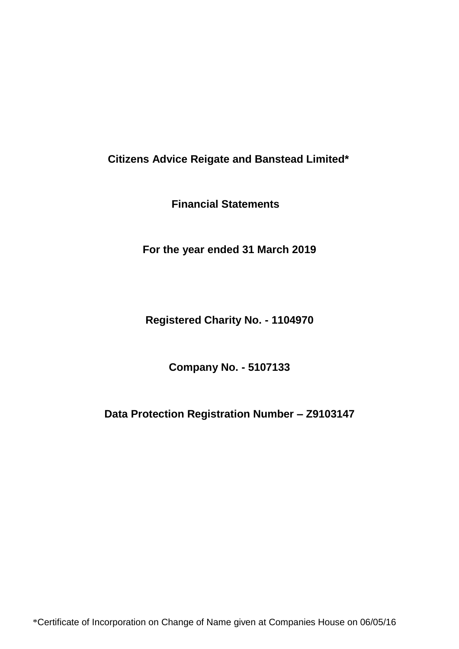**Financial Statements**

**For the year ended 31 March 2019**

**Registered Charity No. - 1104970**

**Company No. - 5107133**

**Data Protection Registration Number – Z9103147**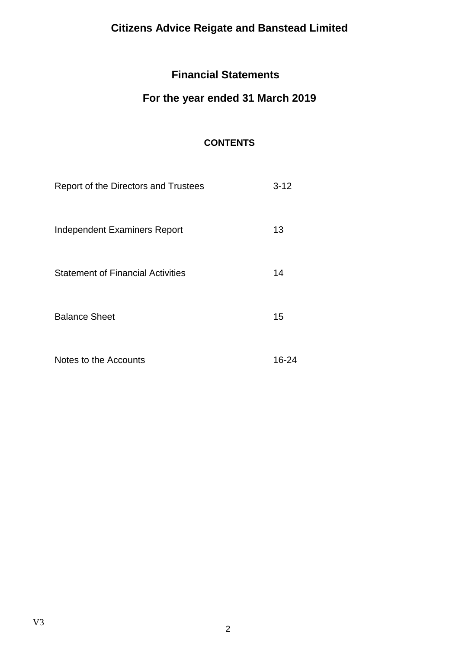# **Financial Statements**

# **For the year ended 31 March 2019**

# **CONTENTS**

| Report of the Directors and Trustees     | $3 - 12$ |
|------------------------------------------|----------|
| Independent Examiners Report             | 13       |
| <b>Statement of Financial Activities</b> | 14       |
| <b>Balance Sheet</b>                     | 15       |
| Notes to the Accounts                    | 16-24    |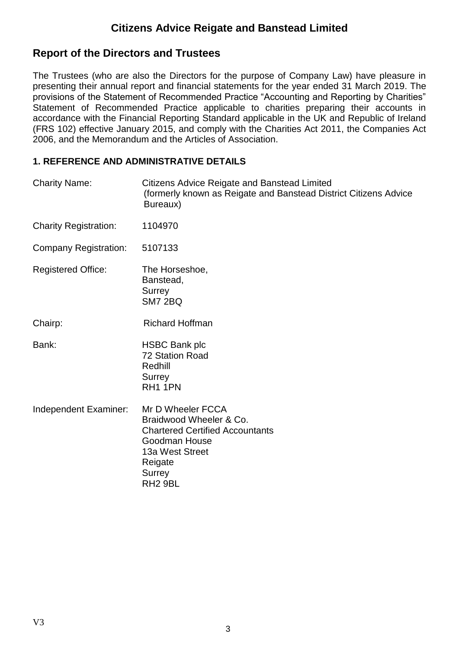## **Report of the Directors and Trustees**

The Trustees (who are also the Directors for the purpose of Company Law) have pleasure in presenting their annual report and financial statements for the year ended 31 March 2019. The provisions of the Statement of Recommended Practice "Accounting and Reporting by Charities" Statement of Recommended Practice applicable to charities preparing their accounts in accordance with the Financial Reporting Standard applicable in the UK and Republic of Ireland (FRS 102) effective January 2015, and comply with the Charities Act 2011, the Companies Act 2006, and the Memorandum and the Articles of Association.

### **1. REFERENCE AND ADMINISTRATIVE DETAILS**

| <b>Charity Name:</b>         | <b>Citizens Advice Reigate and Banstead Limited</b><br>(formerly known as Reigate and Banstead District Citizens Advice<br>Bureaux)                                    |
|------------------------------|------------------------------------------------------------------------------------------------------------------------------------------------------------------------|
| <b>Charity Registration:</b> | 1104970                                                                                                                                                                |
| Company Registration:        | 5107133                                                                                                                                                                |
| <b>Registered Office:</b>    | The Horseshoe,<br>Banstead,<br>Surrey<br><b>SM7 2BQ</b>                                                                                                                |
| Chairp:                      | <b>Richard Hoffman</b>                                                                                                                                                 |
| Bank:                        | <b>HSBC Bank plc</b><br>72 Station Road<br>Redhill<br>Surrey<br>RH <sub>1</sub> 1PN                                                                                    |
| Independent Examiner:        | Mr D Wheeler FCCA<br>Braidwood Wheeler & Co.<br><b>Chartered Certified Accountants</b><br>Goodman House<br>13a West Street<br>Reigate<br>Surrey<br>RH <sub>2</sub> 9BL |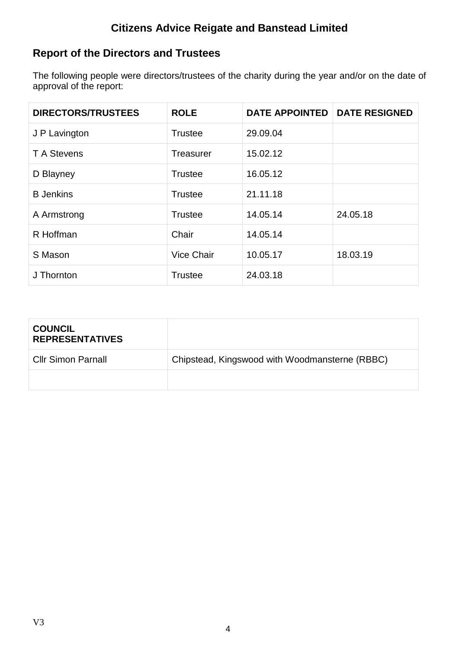# **Report of the Directors and Trustees**

The following people were directors/trustees of the charity during the year and/or on the date of approval of the report:

| <b>DIRECTORS/TRUSTEES</b> | <b>ROLE</b>       | <b>DATE APPOINTED</b> | <b>DATE RESIGNED</b> |
|---------------------------|-------------------|-----------------------|----------------------|
| J P Lavington             | <b>Trustee</b>    | 29.09.04              |                      |
| <b>T</b> A Stevens        | <b>Treasurer</b>  | 15.02.12              |                      |
| D Blayney                 | <b>Trustee</b>    | 16.05.12              |                      |
| <b>B</b> Jenkins          | <b>Trustee</b>    | 21.11.18              |                      |
| A Armstrong               | <b>Trustee</b>    | 14.05.14              | 24.05.18             |
| R Hoffman                 | Chair             | 14.05.14              |                      |
| S Mason                   | <b>Vice Chair</b> | 10.05.17              | 18.03.19             |
| J Thornton                | <b>Trustee</b>    | 24.03.18              |                      |

| <b>COUNCIL</b><br><b>REPRESENTATIVES</b> |                                                |
|------------------------------------------|------------------------------------------------|
| <b>Cllr Simon Parnall</b>                | Chipstead, Kingswood with Woodmansterne (RBBC) |
|                                          |                                                |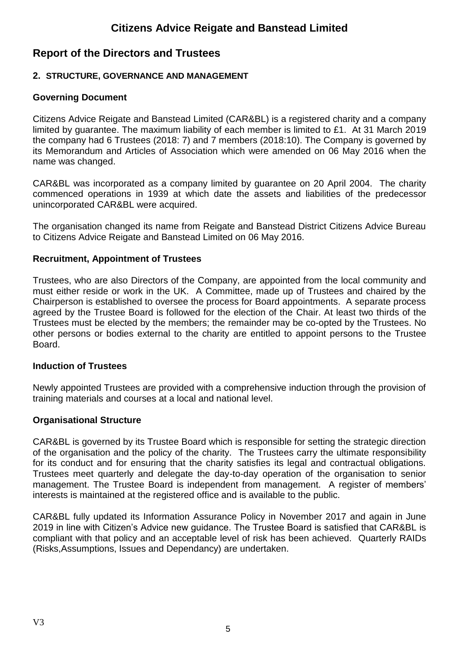## **Report of the Directors and Trustees**

## **2. STRUCTURE, GOVERNANCE AND MANAGEMENT**

## **Governing Document**

Citizens Advice Reigate and Banstead Limited (CAR&BL) is a registered charity and a company limited by guarantee. The maximum liability of each member is limited to £1. At 31 March 2019 the company had 6 Trustees (2018: 7) and 7 members (2018:10). The Company is governed by its Memorandum and Articles of Association which were amended on 06 May 2016 when the name was changed.

CAR&BL was incorporated as a company limited by guarantee on 20 April 2004. The charity commenced operations in 1939 at which date the assets and liabilities of the predecessor unincorporated CAR&BL were acquired.

The organisation changed its name from Reigate and Banstead District Citizens Advice Bureau to Citizens Advice Reigate and Banstead Limited on 06 May 2016.

### **Recruitment, Appointment of Trustees**

Trustees, who are also Directors of the Company, are appointed from the local community and must either reside or work in the UK. A Committee, made up of Trustees and chaired by the Chairperson is established to oversee the process for Board appointments. A separate process agreed by the Trustee Board is followed for the election of the Chair. At least two thirds of the Trustees must be elected by the members; the remainder may be co-opted by the Trustees. No other persons or bodies external to the charity are entitled to appoint persons to the Trustee **Board** 

### **Induction of Trustees**

Newly appointed Trustees are provided with a comprehensive induction through the provision of training materials and courses at a local and national level.

### **Organisational Structure**

CAR&BL is governed by its Trustee Board which is responsible for setting the strategic direction of the organisation and the policy of the charity. The Trustees carry the ultimate responsibility for its conduct and for ensuring that the charity satisfies its legal and contractual obligations. Trustees meet quarterly and delegate the day-to-day operation of the organisation to senior management. The Trustee Board is independent from management. A register of members' interests is maintained at the registered office and is available to the public.

CAR&BL fully updated its Information Assurance Policy in November 2017 and again in June 2019 in line with Citizen's Advice new guidance. The Trustee Board is satisfied that CAR&BL is compliant with that policy and an acceptable level of risk has been achieved. Quarterly RAIDs (Risks,Assumptions, Issues and Dependancy) are undertaken.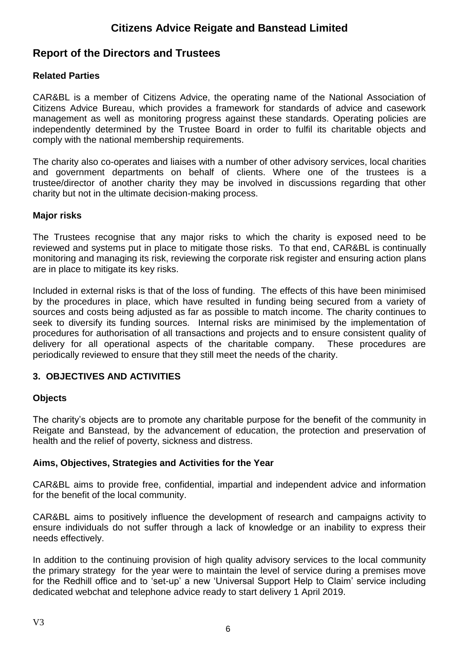## **Report of the Directors and Trustees**

## **Related Parties**

CAR&BL is a member of Citizens Advice, the operating name of the National Association of Citizens Advice Bureau, which provides a framework for standards of advice and casework management as well as monitoring progress against these standards. Operating policies are independently determined by the Trustee Board in order to fulfil its charitable objects and comply with the national membership requirements.

The charity also co-operates and liaises with a number of other advisory services, local charities and government departments on behalf of clients. Where one of the trustees is a trustee/director of another charity they may be involved in discussions regarding that other charity but not in the ultimate decision-making process.

## **Major risks**

The Trustees recognise that any major risks to which the charity is exposed need to be reviewed and systems put in place to mitigate those risks. To that end, CAR&BL is continually monitoring and managing its risk, reviewing the corporate risk register and ensuring action plans are in place to mitigate its key risks.

Included in external risks is that of the loss of funding. The effects of this have been minimised by the procedures in place, which have resulted in funding being secured from a variety of sources and costs being adjusted as far as possible to match income. The charity continues to seek to diversify its funding sources. Internal risks are minimised by the implementation of procedures for authorisation of all transactions and projects and to ensure consistent quality of delivery for all operational aspects of the charitable company. These procedures are periodically reviewed to ensure that they still meet the needs of the charity.

## **3. OBJECTIVES AND ACTIVITIES**

## **Objects**

The charity's objects are to promote any charitable purpose for the benefit of the community in Reigate and Banstead, by the advancement of education, the protection and preservation of health and the relief of poverty, sickness and distress.

## **Aims, Objectives, Strategies and Activities for the Year**

CAR&BL aims to provide free, confidential, impartial and independent advice and information for the benefit of the local community.

CAR&BL aims to positively influence the development of research and campaigns activity to ensure individuals do not suffer through a lack of knowledge or an inability to express their needs effectively.

In addition to the continuing provision of high quality advisory services to the local community the primary strategy for the year were to maintain the level of service during a premises move for the Redhill office and to 'set-up' a new 'Universal Support Help to Claim' service including dedicated webchat and telephone advice ready to start delivery 1 April 2019.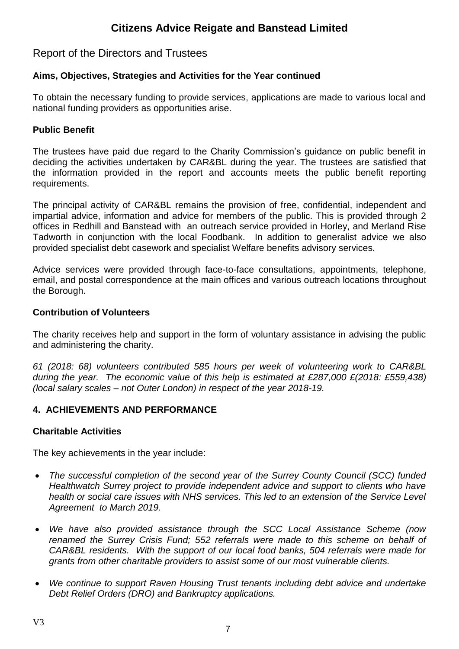## Report of the Directors and Trustees

## **Aims, Objectives, Strategies and Activities for the Year continued**

To obtain the necessary funding to provide services, applications are made to various local and national funding providers as opportunities arise.

## **Public Benefit**

The trustees have paid due regard to the Charity Commission's guidance on public benefit in deciding the activities undertaken by CAR&BL during the year. The trustees are satisfied that the information provided in the report and accounts meets the public benefit reporting requirements.

The principal activity of CAR&BL remains the provision of free, confidential, independent and impartial advice, information and advice for members of the public. This is provided through 2 offices in Redhill and Banstead with an outreach service provided in Horley, and Merland Rise Tadworth in conjunction with the local Foodbank. In addition to generalist advice we also provided specialist debt casework and specialist Welfare benefits advisory services.

Advice services were provided through face-to-face consultations, appointments, telephone, email, and postal correspondence at the main offices and various outreach locations throughout the Borough.

## **Contribution of Volunteers**

The charity receives help and support in the form of voluntary assistance in advising the public and administering the charity.

*61 (2018: 68) volunteers contributed 585 hours per week of volunteering work to CAR&BL during the year. The economic value of this help is estimated at £287,000 £(2018: £559,438) (local salary scales – not Outer London) in respect of the year 2018-19.*

## **4. ACHIEVEMENTS AND PERFORMANCE**

### **Charitable Activities**

The key achievements in the year include:

- *The successful completion of the second year of the Surrey County Council (SCC) funded Healthwatch Surrey project to provide independent advice and support to clients who have health or social care issues with NHS services. This led to an extension of the Service Level Agreement to March 2019.*
- *We have also provided assistance through the SCC Local Assistance Scheme (now renamed the Surrey Crisis Fund; 552 referrals were made to this scheme on behalf of CAR&BL residents. With the support of our local food banks, 504 referrals were made for grants from other charitable providers to assist some of our most vulnerable clients.*
- *We continue to support Raven Housing Trust tenants including debt advice and undertake Debt Relief Orders (DRO) and Bankruptcy applications.*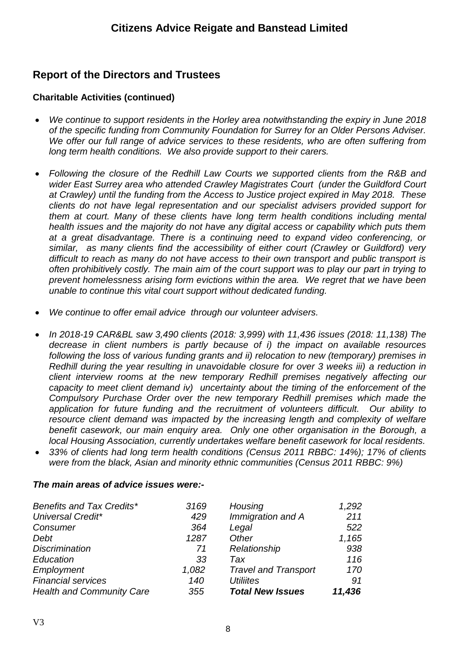# **Report of the Directors and Trustees**

## **Charitable Activities (continued)**

- *We continue to support residents in the Horley area notwithstanding the expiry in June 2018 of the specific funding from Community Foundation for Surrey for an Older Persons Adviser. We offer our full range of advice services to these residents, who are often suffering from long term health conditions. We also provide support to their carers.*
- *Following the closure of the Redhill Law Courts we supported clients from the R&B and wider East Surrey area who attended Crawley Magistrates Court (under the Guildford Court at Crawley) until the funding from the Access to Justice project expired in May 2018. These clients do not have legal representation and our specialist advisers provided support for them at court. Many of these clients have long term health conditions including mental health issues and the majority do not have any digital access or capability which puts them at a great disadvantage. There is a continuing need to expand video conferencing, or similar, as many clients find the accessibility of either court (Crawley or Guildford) very difficult to reach as many do not have access to their own transport and public transport is often prohibitively costly. The main aim of the court support was to play our part in trying to prevent homelessness arising form evictions within the area. We regret that we have been unable to continue this vital court support without dedicated funding.*
- *We continue to offer email advice through our volunteer advisers.*
- *In 2018-19 CAR&BL saw 3,490 clients (2018: 3,999) with 11,436 issues (2018: 11,138) The decrease in client numbers is partly because of i) the impact on available resources following the loss of various funding grants and ii) relocation to new (temporary) premises in Redhill during the year resulting in unavoidable closure for over 3 weeks iii) a reduction in client interview rooms at the new temporary Redhill premises negatively affecting our capacity to meet client demand iv) uncertainty about the timing of the enforcement of the Compulsory Purchase Order over the new temporary Redhill premises which made the application for future funding and the recruitment of volunteers difficult. Our ability to resource client demand was impacted by the increasing length and complexity of welfare benefit casework, our main enquiry area. Only one other organisation in the Borough, a local Housing Association, currently undertakes welfare benefit casework for local residents.*
- *33% of clients had long term health conditions (Census 2011 RBBC: 14%); 17% of clients were from the black, Asian and minority ethnic communities (Census 2011 RBBC: 9%)*

### *The main areas of advice issues were:-*

| Benefits and Tax Credits*        | 3169  | Housing                     | 1,292  |
|----------------------------------|-------|-----------------------------|--------|
| <b>Universal Credit*</b>         | 429   | Immigration and A           | 211    |
| Consumer                         | 364   | Legal                       | 522    |
| Debt                             | 1287  | Other                       | 1,165  |
| <b>Discrimination</b>            | 71    | Relationship                | 938    |
| Education                        | 33    | Tax                         | 116    |
| Employment                       | 1,082 | <b>Travel and Transport</b> | 170    |
| <b>Financial services</b>        | 140   | <b>Utiliites</b>            | 91     |
| <b>Health and Community Care</b> | 355   | <b>Total New Issues</b>     | 11,436 |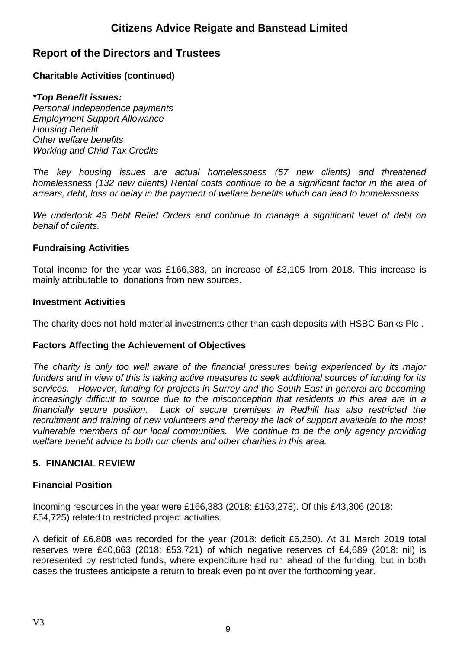## **Report of the Directors and Trustees**

## **Charitable Activities (continued)**

### *\*Top Benefit issues:*

*Personal Independence payments Employment Support Allowance Housing Benefit Other welfare benefits Working and Child Tax Credits*

*The key housing issues are actual homelessness (57 new clients) and threatened homelessness (132 new clients) Rental costs continue to be a significant factor in the area of arrears, debt, loss or delay in the payment of welfare benefits which can lead to homelessness.* 

*We undertook 49 Debt Relief Orders and continue to manage a significant level of debt on behalf of clients.*

## **Fundraising Activities**

Total income for the year was £166,383, an increase of £3,105 from 2018. This increase is mainly attributable to donations from new sources.

### **Investment Activities**

The charity does not hold material investments other than cash deposits with HSBC Banks Plc .

## **Factors Affecting the Achievement of Objectives**

*The charity is only too well aware of the financial pressures being experienced by its major funders and in view of this is taking active measures to seek additional sources of funding for its services. However, funding for projects in Surrey and the South East in general are becoming increasingly difficult to source due to the misconception that residents in this area are in a financially secure position. Lack of secure premises in Redhill has also restricted the recruitment and training of new volunteers and thereby the lack of support available to the most vulnerable members of our local communities. We continue to be the only agency providing welfare benefit advice to both our clients and other charities in this area.*

## **5. FINANCIAL REVIEW**

## **Financial Position**

Incoming resources in the year were £166,383 (2018: £163,278). Of this £43,306 (2018: £54,725) related to restricted project activities.

A deficit of £6,808 was recorded for the year (2018: deficit £6,250). At 31 March 2019 total reserves were £40,663 (2018: £53,721) of which negative reserves of £4,689 (2018: nil) is represented by restricted funds, where expenditure had run ahead of the funding, but in both cases the trustees anticipate a return to break even point over the forthcoming year.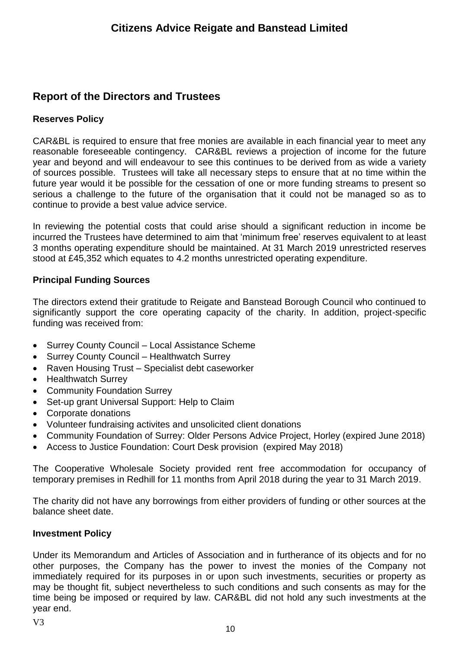# **Report of the Directors and Trustees**

## **Reserves Policy**

CAR&BL is required to ensure that free monies are available in each financial year to meet any reasonable foreseeable contingency. CAR&BL reviews a projection of income for the future year and beyond and will endeavour to see this continues to be derived from as wide a variety of sources possible. Trustees will take all necessary steps to ensure that at no time within the future year would it be possible for the cessation of one or more funding streams to present so serious a challenge to the future of the organisation that it could not be managed so as to continue to provide a best value advice service.

In reviewing the potential costs that could arise should a significant reduction in income be incurred the Trustees have determined to aim that 'minimum free' reserves equivalent to at least 3 months operating expenditure should be maintained. At 31 March 2019 unrestricted reserves stood at £45,352 which equates to 4.2 months unrestricted operating expenditure.

## **Principal Funding Sources**

The directors extend their gratitude to Reigate and Banstead Borough Council who continued to significantly support the core operating capacity of the charity. In addition, project-specific funding was received from:

- Surrey County Council Local Assistance Scheme
- Surrey County Council Healthwatch Surrey
- Raven Housing Trust Specialist debt caseworker
- Healthwatch Surrey
- Community Foundation Surrey
- Set-up grant Universal Support: Help to Claim
- Corporate donations
- Volunteer fundraising activites and unsolicited client donations
- Community Foundation of Surrey: Older Persons Advice Project, Horley (expired June 2018)
- Access to Justice Foundation: Court Desk provision (expired May 2018)

The Cooperative Wholesale Society provided rent free accommodation for occupancy of temporary premises in Redhill for 11 months from April 2018 during the year to 31 March 2019.

The charity did not have any borrowings from either providers of funding or other sources at the balance sheet date.

## **Investment Policy**

Under its Memorandum and Articles of Association and in furtherance of its objects and for no other purposes, the Company has the power to invest the monies of the Company not immediately required for its purposes in or upon such investments, securities or property as may be thought fit, subject nevertheless to such conditions and such consents as may for the time being be imposed or required by law. CAR&BL did not hold any such investments at the year end.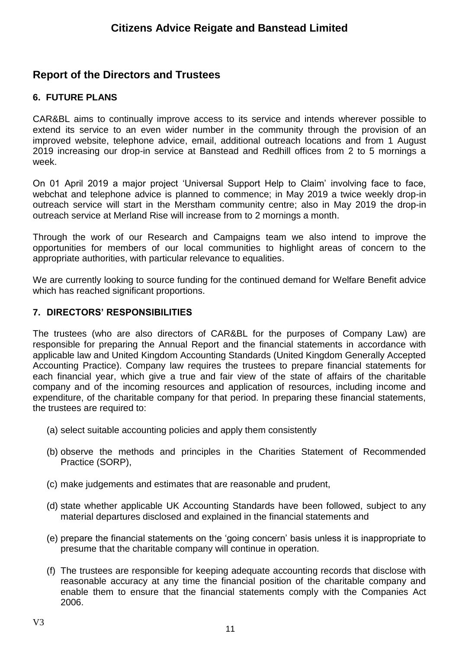## **Report of the Directors and Trustees**

## **6. FUTURE PLANS**

CAR&BL aims to continually improve access to its service and intends wherever possible to extend its service to an even wider number in the community through the provision of an improved website, telephone advice, email, additional outreach locations and from 1 August 2019 increasing our drop-in service at Banstead and Redhill offices from 2 to 5 mornings a week.

On 01 April 2019 a major project 'Universal Support Help to Claim' involving face to face, webchat and telephone advice is planned to commence; in May 2019 a twice weekly drop-in outreach service will start in the Merstham community centre; also in May 2019 the drop-in outreach service at Merland Rise will increase from to 2 mornings a month.

Through the work of our Research and Campaigns team we also intend to improve the opportunities for members of our local communities to highlight areas of concern to the appropriate authorities, with particular relevance to equalities.

We are currently looking to source funding for the continued demand for Welfare Benefit advice which has reached significant proportions.

## **7. DIRECTORS' RESPONSIBILITIES**

The trustees (who are also directors of CAR&BL for the purposes of Company Law) are responsible for preparing the Annual Report and the financial statements in accordance with applicable law and United Kingdom Accounting Standards (United Kingdom Generally Accepted Accounting Practice). Company law requires the trustees to prepare financial statements for each financial year, which give a true and fair view of the state of affairs of the charitable company and of the incoming resources and application of resources, including income and expenditure, of the charitable company for that period. In preparing these financial statements, the trustees are required to:

- (a) select suitable accounting policies and apply them consistently
- (b) observe the methods and principles in the Charities Statement of Recommended Practice (SORP),
- (c) make judgements and estimates that are reasonable and prudent,
- (d) state whether applicable UK Accounting Standards have been followed, subject to any material departures disclosed and explained in the financial statements and
- (e) prepare the financial statements on the 'going concern' basis unless it is inappropriate to presume that the charitable company will continue in operation.
- (f) The trustees are responsible for keeping adequate accounting records that disclose with reasonable accuracy at any time the financial position of the charitable company and enable them to ensure that the financial statements comply with the Companies Act 2006.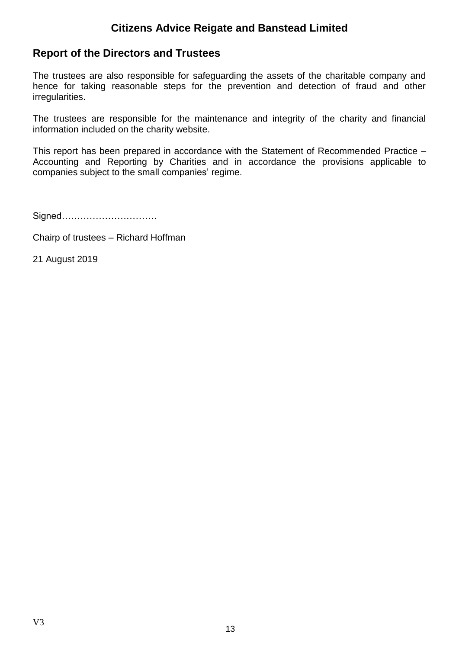## **Report of the Directors and Trustees**

The trustees are also responsible for safeguarding the assets of the charitable company and hence for taking reasonable steps for the prevention and detection of fraud and other irregularities.

The trustees are responsible for the maintenance and integrity of the charity and financial information included on the charity website.

This report has been prepared in accordance with the Statement of Recommended Practice – Accounting and Reporting by Charities and in accordance the provisions applicable to companies subject to the small companies' regime.

Signed………………………….

Chairp of trustees – Richard Hoffman

21 August 2019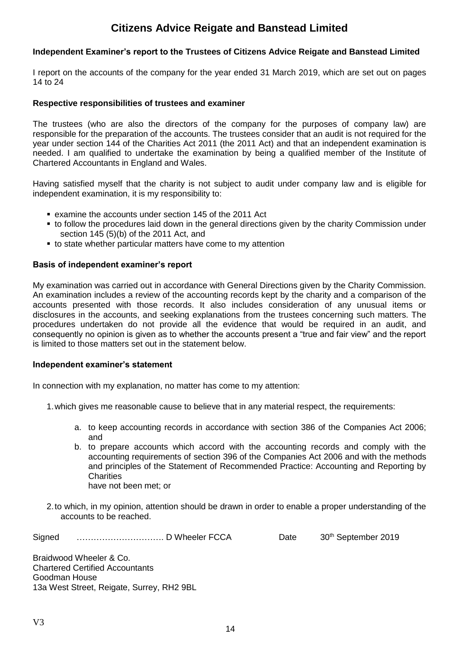#### **Independent Examiner's report to the Trustees of Citizens Advice Reigate and Banstead Limited**

I report on the accounts of the company for the year ended 31 March 2019, which are set out on pages 14 to 24

#### **Respective responsibilities of trustees and examiner**

The trustees (who are also the directors of the company for the purposes of company law) are responsible for the preparation of the accounts. The trustees consider that an audit is not required for the year under section 144 of the Charities Act 2011 (the 2011 Act) and that an independent examination is needed. I am qualified to undertake the examination by being a qualified member of the Institute of Chartered Accountants in England and Wales.

Having satisfied myself that the charity is not subject to audit under company law and is eligible for independent examination, it is my responsibility to:

- examine the accounts under section 145 of the 2011 Act
- **.** to follow the procedures laid down in the general directions given by the charity Commission under section 145 (5)(b) of the 2011 Act, and
- to state whether particular matters have come to my attention

#### **Basis of independent examiner's report**

My examination was carried out in accordance with General Directions given by the Charity Commission. An examination includes a review of the accounting records kept by the charity and a comparison of the accounts presented with those records. It also includes consideration of any unusual items or disclosures in the accounts, and seeking explanations from the trustees concerning such matters. The procedures undertaken do not provide all the evidence that would be required in an audit, and consequently no opinion is given as to whether the accounts present a "true and fair view" and the report is limited to those matters set out in the statement below.

#### **Independent examiner's statement**

In connection with my explanation, no matter has come to my attention:

1.which gives me reasonable cause to believe that in any material respect, the requirements:

- a. to keep accounting records in accordance with section 386 of the Companies Act 2006; and
- b. to prepare accounts which accord with the accounting records and comply with the accounting requirements of section 396 of the Companies Act 2006 and with the methods and principles of the Statement of Recommended Practice: Accounting and Reporting by **Charities** have not been met; or
- 2.to which, in my opinion, attention should be drawn in order to enable a proper understanding of the accounts to be reached.

Signed …………………………. D Wheeler FCCA Date 30th September 2019

Braidwood Wheeler & Co. Chartered Certified Accountants Goodman House 13a West Street, Reigate, Surrey, RH2 9BL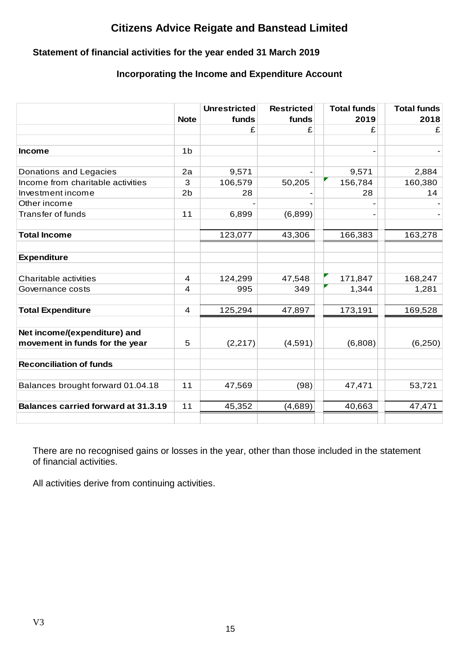## **Statement of financial activities for the year ended 31 March 2019**

## **Incorporating the Income and Expenditure Account**

|                                            |                         | <b>Unrestricted</b> | <b>Restricted</b> | <b>Total funds</b> | <b>Total funds</b> |
|--------------------------------------------|-------------------------|---------------------|-------------------|--------------------|--------------------|
|                                            | <b>Note</b>             | funds               | funds             | 2019               | 2018               |
|                                            |                         | £                   | £                 | £                  | £                  |
| <b>Income</b>                              | 1 <sub>b</sub>          |                     |                   |                    |                    |
| Donations and Legacies                     | 2a                      | 9,571               |                   | 9,571              | 2,884              |
| Income from charitable activities          | 3                       | 106,579             | 50,205            | 156,784            | 160,380            |
| Investment income                          | 2 <sub>b</sub>          | 28                  |                   | 28                 | 14                 |
| Other income                               |                         |                     |                   |                    |                    |
| <b>Transfer of funds</b>                   | 11                      | 6,899               | (6,899)           |                    |                    |
| <b>Total Income</b>                        |                         | 123,077             | 43,306            | 166,383            | 163,278            |
| <b>Expenditure</b>                         |                         |                     |                   |                    |                    |
| Charitable activities                      | 4                       | 124,299             | 47,548            | 171,847            | 168,247            |
| Governance costs                           | $\overline{\mathbf{4}}$ | 995                 | 349               | 1,344              | 1,281              |
| <b>Total Expenditure</b>                   | $\overline{\mathbf{4}}$ | 125,294             | 47,897            | 173,191            | 169,528            |
| Net income/(expenditure) and               |                         |                     |                   |                    |                    |
| movement in funds for the year             | 5                       | (2, 217)            | (4,591)           | (6,808)            | (6,250)            |
| <b>Reconciliation of funds</b>             |                         |                     |                   |                    |                    |
| Balances brought forward 01.04.18          | 11                      | 47,569              | (98)              | 47,471             | 53,721             |
| <b>Balances carried forward at 31.3.19</b> | 11                      | 45,352              | (4,689)           | 40,663             | 47,471             |
|                                            |                         |                     |                   |                    |                    |

There are no recognised gains or losses in the year, other than those included in the statement of financial activities.

All activities derive from continuing activities.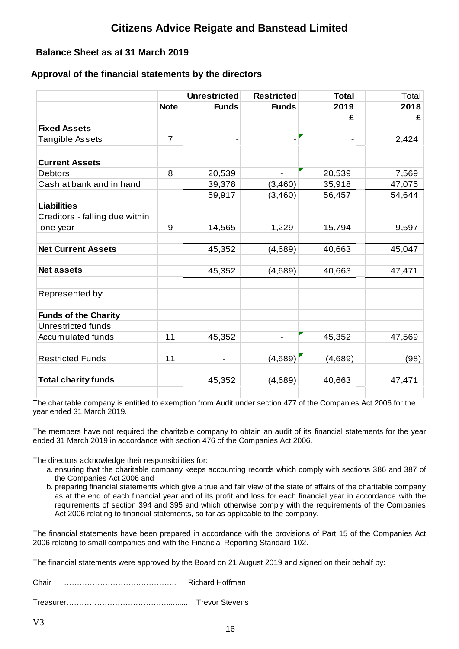## **Balance Sheet as at 31 March 2019**

## **Approval of the financial statements by the directors**

|                                |                | <b>Unrestricted</b> | <b>Restricted</b>        | <b>Total</b> | Total  |
|--------------------------------|----------------|---------------------|--------------------------|--------------|--------|
|                                | <b>Note</b>    | <b>Funds</b>        | <b>Funds</b>             | 2019         | 2018   |
|                                |                |                     |                          | £            | £      |
| <b>Fixed Assets</b>            |                |                     |                          |              |        |
| Tangible Assets                | $\overline{7}$ |                     |                          |              | 2,424  |
|                                |                |                     |                          |              |        |
| <b>Current Assets</b>          |                |                     |                          |              |        |
| <b>Debtors</b>                 | 8              | 20,539              |                          | 20,539       | 7,569  |
| Cash at bank and in hand       |                | 39,378              | (3,460)                  | 35,918       | 47,075 |
|                                |                | 59,917              | (3,460)                  | 56,457       | 54,644 |
| <b>Liabilities</b>             |                |                     |                          |              |        |
| Creditors - falling due within |                |                     |                          |              |        |
| one year                       | 9              | 14,565              | 1,229                    | 15,794       | 9,597  |
| <b>Net Current Assets</b>      |                | 45,352              | (4,689)                  | 40,663       | 45,047 |
| <b>Net assets</b>              |                | 45,352              | (4,689)                  | 40,663       | 47,471 |
| Represented by:                |                |                     |                          |              |        |
| <b>Funds of the Charity</b>    |                |                     |                          |              |        |
| Unrestricted funds             |                |                     |                          |              |        |
| Accumulated funds              | 11             | 45,352              | $\overline{\phantom{a}}$ | 45,352       | 47,569 |
| <b>Restricted Funds</b>        | 11             |                     | (4,689)                  | (4,689)      | (98)   |
| <b>Total charity funds</b>     |                | 45,352              | (4,689)                  | 40,663       | 47,471 |
|                                |                |                     |                          |              |        |

The charitable company is entitled to exemption from Audit under section 477 of the Companies Act 2006 for the year ended 31 March 2019.

The members have not required the charitable company to obtain an audit of its financial statements for the year ended 31 March 2019 in accordance with section 476 of the Companies Act 2006.

The directors acknowledge their responsibilities for:

- a. ensuring that the charitable company keeps accounting records which comply with sections 386 and 387 of the Companies Act 2006 and
- b. preparing financial statements which give a true and fair view of the state of affairs of the charitable company as at the end of each financial year and of its profit and loss for each financial year in accordance with the requirements of section 394 and 395 and which otherwise comply with the requirements of the Companies Act 2006 relating to financial statements, so far as applicable to the company.

The financial statements have been prepared in accordance with the provisions of Part 15 of the Companies Act 2006 relating to small companies and with the Financial Reporting Standard 102.

The financial statements were approved by the Board on 21 August 2019 and signed on their behalf by:

Chair …………………………………….. Richard Hoffman

Treasurer………………………………….......... Trevor Stevens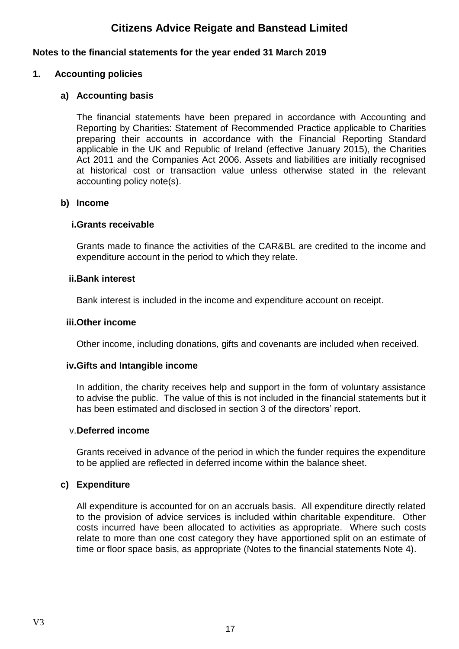### **Notes to the financial statements for the year ended 31 March 2019**

### **1. Accounting policies**

## **a) Accounting basis**

The financial statements have been prepared in accordance with Accounting and Reporting by Charities: Statement of Recommended Practice applicable to Charities preparing their accounts in accordance with the Financial Reporting Standard applicable in the UK and Republic of Ireland (effective January 2015), the Charities Act 2011 and the Companies Act 2006. Assets and liabilities are initially recognised at historical cost or transaction value unless otherwise stated in the relevant accounting policy note(s).

### **b) Income**

## **i.Grants receivable**

Grants made to finance the activities of the CAR&BL are credited to the income and expenditure account in the period to which they relate.

### **ii.Bank interest**

Bank interest is included in the income and expenditure account on receipt.

### **iii.Other income**

Other income, including donations, gifts and covenants are included when received.

### **iv.Gifts and Intangible income**

In addition, the charity receives help and support in the form of voluntary assistance to advise the public. The value of this is not included in the financial statements but it has been estimated and disclosed in section 3 of the directors' report.

### v.**Deferred income**

Grants received in advance of the period in which the funder requires the expenditure to be applied are reflected in deferred income within the balance sheet.

### **c) Expenditure**

All expenditure is accounted for on an accruals basis. All expenditure directly related to the provision of advice services is included within charitable expenditure. Other costs incurred have been allocated to activities as appropriate. Where such costs relate to more than one cost category they have apportioned split on an estimate of time or floor space basis, as appropriate (Notes to the financial statements Note 4).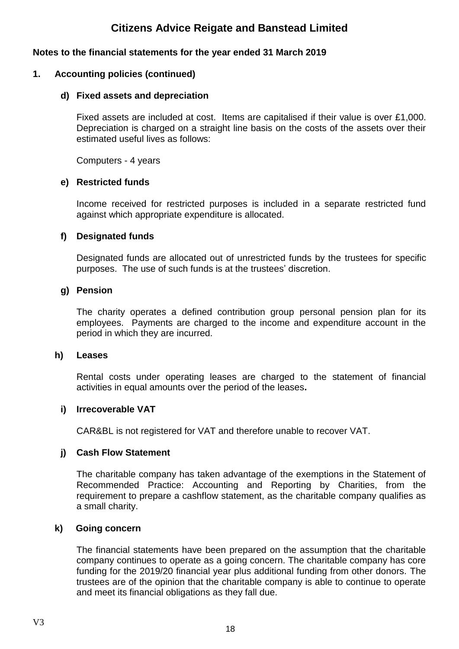## **Notes to the financial statements for the year ended 31 March 2019**

### **1. Accounting policies (continued)**

### **d) Fixed assets and depreciation**

Fixed assets are included at cost. Items are capitalised if their value is over £1,000. Depreciation is charged on a straight line basis on the costs of the assets over their estimated useful lives as follows:

Computers - 4 years

### **e) Restricted funds**

Income received for restricted purposes is included in a separate restricted fund against which appropriate expenditure is allocated.

### **f) Designated funds**

Designated funds are allocated out of unrestricted funds by the trustees for specific purposes. The use of such funds is at the trustees' discretion.

### **g) Pension**

The charity operates a defined contribution group personal pension plan for its employees. Payments are charged to the income and expenditure account in the period in which they are incurred.

### **h) Leases**

Rental costs under operating leases are charged to the statement of financial activities in equal amounts over the period of the leases**.**

### **i) Irrecoverable VAT**

CAR&BL is not registered for VAT and therefore unable to recover VAT.

### **j) Cash Flow Statement**

The charitable company has taken advantage of the exemptions in the Statement of Recommended Practice: Accounting and Reporting by Charities, from the requirement to prepare a cashflow statement, as the charitable company qualifies as a small charity.

### **k) Going concern**

The financial statements have been prepared on the assumption that the charitable company continues to operate as a going concern. The charitable company has core funding for the 2019/20 financial year plus additional funding from other donors. The trustees are of the opinion that the charitable company is able to continue to operate and meet its financial obligations as they fall due.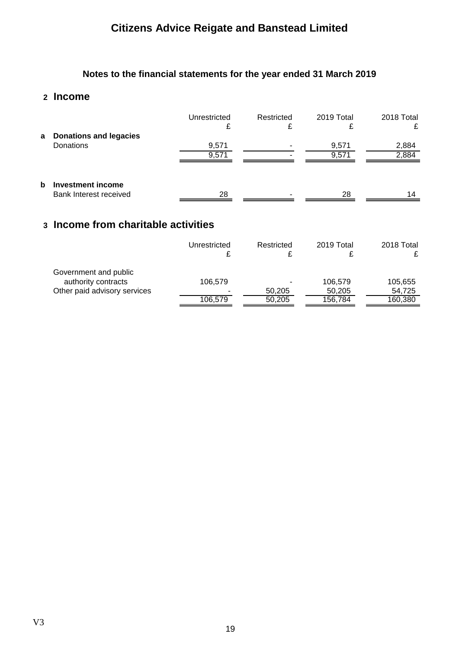# **Notes to the financial statements for the year ended 31 March 2019**

## **2 Income**

|   |                                                    | Unrestricted<br>£ | Restricted<br>₽ | 2019 Total<br>₽ | 2018 Total<br>£ |
|---|----------------------------------------------------|-------------------|-----------------|-----------------|-----------------|
|   | a Donations and legacies<br>Donations              | 9,571<br>9,571    |                 | 9,571<br>9,571  | 2,884<br>2,884  |
| b | <b>Investment income</b><br>Bank Interest received | 28                | -               | 28              | 14              |

## **3 Income from charitable activities**

|                                              | Unrestricted | Restricted | 2019 Total | 2018 Total |
|----------------------------------------------|--------------|------------|------------|------------|
| Government and public<br>authority contracts | 106.579      | ۰          | 106,579    | 105,655    |
| Other paid advisory services                 |              | 50,205     | 50.205     | 54,725     |
|                                              | 106.579      | 50.205     | 156,784    | 160,380    |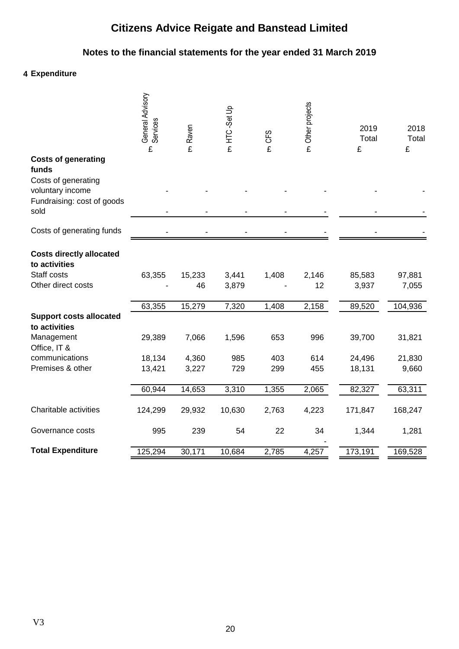# **Notes to the financial statements for the year ended 31 March 2019**

## **4 Expenditure**

|                                                  | General Advisory<br>Services<br>£ | m Raven | m HTC-Set Up | CFS<br>£ | m Other projects | 2019<br>Total<br>£ | 2018<br>Total<br>£ |
|--------------------------------------------------|-----------------------------------|---------|--------------|----------|------------------|--------------------|--------------------|
| <b>Costs of generating</b><br>funds              |                                   |         |              |          |                  |                    |                    |
| Costs of generating<br>voluntary income          |                                   |         |              |          |                  |                    |                    |
| Fundraising: cost of goods<br>sold               |                                   |         |              |          |                  |                    |                    |
| Costs of generating funds                        |                                   |         |              |          |                  |                    |                    |
| <b>Costs directly allocated</b><br>to activities |                                   |         |              |          |                  |                    |                    |
| Staff costs                                      | 63,355                            | 15,233  | 3,441        | 1,408    | 2,146            | 85,583             | 97,881             |
| Other direct costs                               |                                   | 46      | 3,879        |          | 12               | 3,937              | 7,055              |
|                                                  | 63,355                            | 15,279  | 7,320        | 1,408    | 2,158            | 89,520             | 104,936            |
| <b>Support costs allocated</b><br>to activities  |                                   |         |              |          |                  |                    |                    |
| Management<br>Office, IT &                       | 29,389                            | 7,066   | 1,596        | 653      | 996              | 39,700             | 31,821             |
| communications                                   | 18,134                            | 4,360   | 985          | 403      | 614              | 24,496             | 21,830             |
| Premises & other                                 | 13,421                            | 3,227   | 729          | 299      | 455              | 18,131             | 9,660              |
|                                                  | 60,944                            | 14,653  | 3,310        | 1,355    | 2,065            | 82,327             | 63,311             |
| Charitable activities                            | 124,299                           | 29,932  | 10,630       | 2,763    | 4,223            | 171,847            | 168,247            |
| Governance costs                                 | 995                               | 239     | 54           | 22       | 34               | 1,344              | 1,281              |
| <b>Total Expenditure</b>                         | 125,294                           | 30,171  | 10,684       | 2,785    | 4,257            | 173,191            | 169,528            |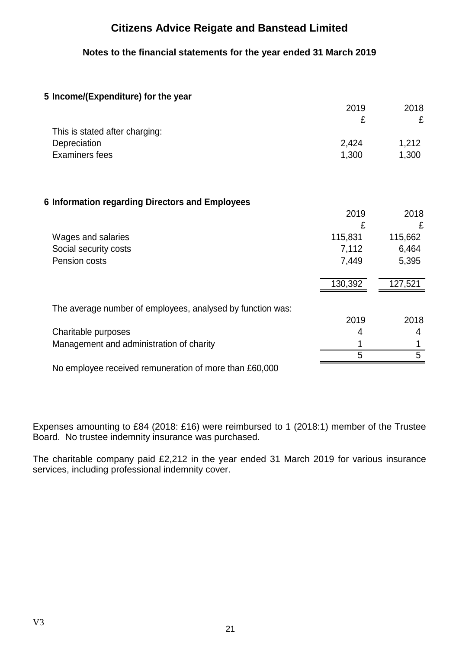**Notes to the financial statements for the year ended 31 March 2019**

## **5 Income/(Expenditure) for the year**

|                                                            | 2019    | 2018    |
|------------------------------------------------------------|---------|---------|
|                                                            | £       | £       |
| This is stated after charging:                             |         |         |
| Depreciation                                               | 2,424   | 1,212   |
| <b>Examiners fees</b>                                      | 1,300   | 1,300   |
|                                                            |         |         |
| 6 Information regarding Directors and Employees            |         |         |
|                                                            | 2019    | 2018    |
|                                                            | £       | £       |
| Wages and salaries                                         | 115,831 | 115,662 |
| Social security costs                                      | 7,112   | 6,464   |
| Pension costs                                              | 7,449   | 5,395   |
|                                                            | 130,392 | 127,521 |
| The average number of employees, analysed by function was: |         |         |
|                                                            | 2019    | 2018    |
| Charitable purposes                                        | 4       | 4       |
| Management and administration of charity                   |         |         |
|                                                            | 5       | 5       |
| No employee received remuneration of more than £60,000     |         |         |

Expenses amounting to £84 (2018: £16) were reimbursed to 1 (2018:1) member of the Trustee Board. No trustee indemnity insurance was purchased.

The charitable company paid £2,212 in the year ended 31 March 2019 for various insurance services, including professional indemnity cover.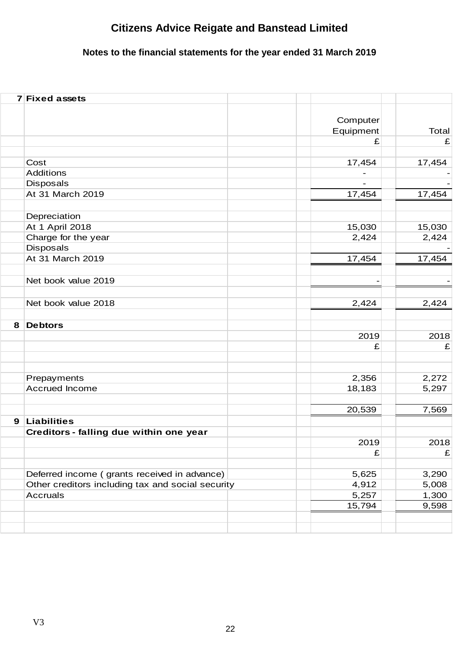# **Notes to the financial statements for the year ended 31 March 2019**

|   | 7 Fixed assets                                    |                       |        |
|---|---------------------------------------------------|-----------------------|--------|
|   |                                                   | Computer<br>Equipment | Total  |
|   |                                                   | £                     | £      |
|   |                                                   |                       |        |
|   | Cost                                              | 17,454                | 17,454 |
|   | <b>Additions</b>                                  |                       |        |
|   | Disposals                                         |                       |        |
|   | At 31 March 2019                                  | 17,454                | 17,454 |
|   | Depreciation                                      |                       |        |
|   | At 1 April 2018                                   | 15,030                | 15,030 |
|   | Charge for the year                               | 2,424                 | 2,424  |
|   | <b>Disposals</b>                                  |                       |        |
|   | At 31 March 2019                                  | 17,454                | 17,454 |
|   | Net book value 2019                               |                       |        |
|   | Net book value 2018                               | 2,424                 | 2,424  |
|   |                                                   |                       |        |
| 8 | <b>Debtors</b>                                    |                       |        |
|   |                                                   | 2019                  | 2018   |
|   |                                                   | £                     | £      |
|   |                                                   |                       |        |
|   | Prepayments                                       | 2,356                 | 2,272  |
|   | <b>Accrued Income</b>                             | 18,183                | 5,297  |
|   |                                                   | 20,539                | 7,569  |
| 9 | <b>Liabilities</b>                                |                       |        |
|   | Creditors - falling due within one year           |                       |        |
|   |                                                   | 2019                  | 2018   |
|   |                                                   | £                     | £      |
|   | Deferred income (grants received in advance)      | 5,625                 | 3,290  |
|   | Other creditors including tax and social security | 4,912                 | 5,008  |
|   | <b>Accruals</b>                                   | 5,257                 | 1,300  |
|   |                                                   | 15,794                | 9,598  |
|   |                                                   |                       |        |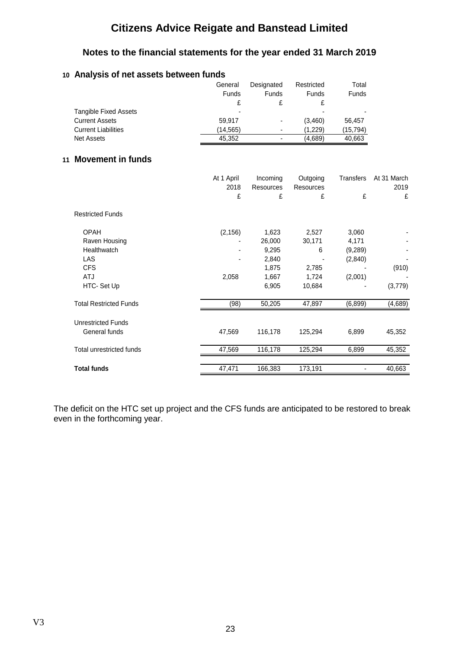## **Notes to the financial statements for the year ended 31 March 2019**

## **10 Analysis of net assets between funds**

|                              | General  | Designated     | Restricted | Total        |
|------------------------------|----------|----------------|------------|--------------|
|                              | Funds    | Funds          | Funds      | <b>Funds</b> |
|                              |          |                |            |              |
| <b>Tangible Fixed Assets</b> | -        |                | -          |              |
| <b>Current Assets</b>        | 59.917   | $\blacksquare$ | (3.460)    | 56.457       |
| <b>Current Liabilities</b>   | (14,565) | ٠              | (1.229)    | (15,794)     |
| Net Assets                   | 45.352   | $\blacksquare$ | (4.689)    | 40.663       |

### **11 Movement in funds**

|                               | At 1 April<br>2018 | Incoming<br>Resources | Outgoing<br>Resources | <b>Transfers</b> | At 31 March<br>2019 |
|-------------------------------|--------------------|-----------------------|-----------------------|------------------|---------------------|
|                               | £                  | £                     | £                     | £                | £                   |
| <b>Restricted Funds</b>       |                    |                       |                       |                  |                     |
| <b>OPAH</b>                   | (2, 156)           | 1,623                 | 2,527                 | 3,060            |                     |
| Raven Housing                 |                    | 26,000                | 30,171                | 4,171            |                     |
| Healthwatch                   |                    | 9,295                 | 6                     | (9,289)          |                     |
| LAS                           |                    | 2,840                 |                       | (2,840)          |                     |
| <b>CFS</b>                    |                    | 1,875                 | 2,785                 |                  | (910)               |
| <b>ATJ</b>                    | 2,058              | 1,667                 | 1,724                 | (2,001)          |                     |
| HTC- Set Up                   |                    | 6,905                 | 10,684                |                  | (3,779)             |
| <b>Total Restricted Funds</b> | (98)               | 50,205                | 47,897                | (6, 899)         | (4,689)             |
| <b>Unrestricted Funds</b>     |                    |                       |                       |                  |                     |
| General funds                 | 47,569             | 116,178               | 125,294               | 6,899            | 45,352              |
| Total unrestricted funds      | 47,569             | 116,178               | 125,294               | 6,899            | 45,352              |
|                               |                    |                       |                       |                  |                     |
| <b>Total funds</b>            | 47,471             | 166,383               | 173,191               |                  | 40,663              |

The deficit on the HTC set up project and the CFS funds are anticipated to be restored to break even in the forthcoming year.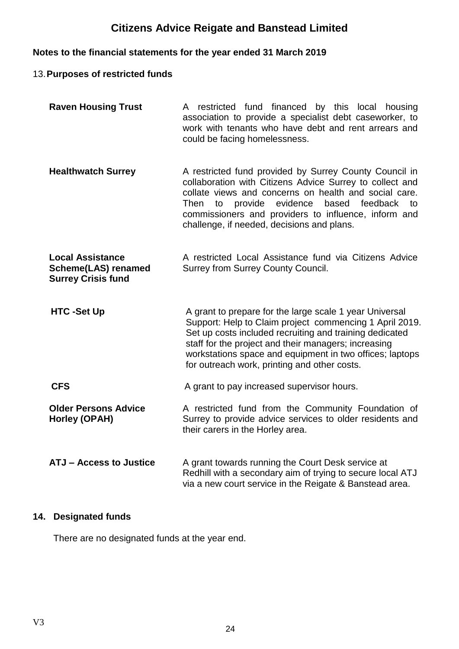# **Notes to the financial statements for the year ended 31 March 2019**

## 13.**Purposes of restricted funds**

| <b>Raven Housing Trust</b>                                                         | A restricted fund financed by this local housing<br>association to provide a specialist debt caseworker, to<br>work with tenants who have debt and rent arrears and<br>could be facing homelessness.                                                                                                                                              |
|------------------------------------------------------------------------------------|---------------------------------------------------------------------------------------------------------------------------------------------------------------------------------------------------------------------------------------------------------------------------------------------------------------------------------------------------|
| <b>Healthwatch Surrey</b>                                                          | A restricted fund provided by Surrey County Council in<br>collaboration with Citizens Advice Surrey to collect and<br>collate views and concerns on health and social care.<br>evidence<br>based<br>Then<br>provide<br>feedback<br>to<br>to<br>commissioners and providers to influence, inform and<br>challenge, if needed, decisions and plans. |
| <b>Local Assistance</b><br><b>Scheme(LAS) renamed</b><br><b>Surrey Crisis fund</b> | A restricted Local Assistance fund via Citizens Advice<br>Surrey from Surrey County Council.                                                                                                                                                                                                                                                      |
| <b>HTC-Set Up</b>                                                                  | A grant to prepare for the large scale 1 year Universal<br>Support: Help to Claim project commencing 1 April 2019.<br>Set up costs included recruiting and training dedicated<br>staff for the project and their managers; increasing<br>workstations space and equipment in two offices; laptops<br>for outreach work, printing and other costs. |
| <b>CFS</b>                                                                         | A grant to pay increased supervisor hours.                                                                                                                                                                                                                                                                                                        |
| <b>Older Persons Advice</b><br>Horley (OPAH)                                       | A restricted fund from the Community Foundation of<br>Surrey to provide advice services to older residents and<br>their carers in the Horley area.                                                                                                                                                                                                |
| <b>ATJ - Access to Justice</b>                                                     | A grant towards running the Court Desk service at<br>Redhill with a secondary aim of trying to secure local ATJ<br>via a new court service in the Reigate & Banstead area.                                                                                                                                                                        |

## **14. Designated funds**

There are no designated funds at the year end.